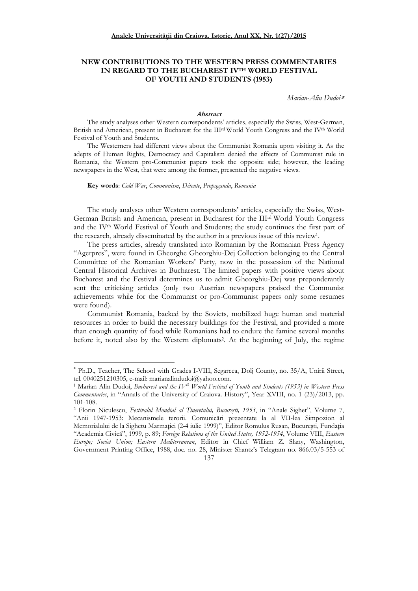# **NEW CONTRIBUTIONS TO THE WESTERN PRESS COMMENTARIES IN REGARD TO THE BUCHAREST IVTH WORLD FESTIVAL OF YOUTH AND STUDENTS (1953)**

*Marian-Alin Dudoi*<sup>∗</sup>

## **Abstract**

The study analyses other Western correspondents' articles, especially the Swiss, West-German, British and American, present in Bucharest for the III<sup>rd</sup> World Youth Congress and the IV<sup>th</sup> World Festival of Youth and Students.

The Westerners had different views about the Communist Romania upon visiting it. As the adepts of Human Rights, Democracy and Capitalism denied the effects of Communist rule in Romania, the Western pro-Communist papers took the opposite side; however, the leading newspapers in the West, that were among the former, presented the negative views.

**Key words**: *Cold War*, *Communism*, *Détente*, *Propaganda*, *Romania*

 $\overline{a}$ 

The study analyses other Western correspondents' articles, especially the Swiss, West-German British and American, present in Bucharest for the IIIrd World Youth Congress and the IV<sup>th</sup> World Festival of Youth and Students; the study continues the first part of the research, already disseminated by the author in a previous issue of this review<sup>1</sup>.

The press articles, already translated into Romanian by the Romanian Press Agency "Agerpres", were found in Gheorghe Gheorghiu-Dej Collection belonging to the Central Committee of the Romanian Workers' Party, now in the possession of the National Central Historical Archives in Bucharest. The limited papers with positive views about Bucharest and the Festival determines us to admit Gheorghiu-Dej was preponderantly sent the criticising articles (only two Austrian newspapers praised the Communist achievements while for the Communist or pro-Communist papers only some resumes were found).

Communist Romania, backed by the Soviets, mobilized huge human and material resources in order to build the necessary buildings for the Festival, and provided a more than enough quantity of food while Romanians had to endure the famine several months before it, noted also by the Western diplomats<sup>2</sup>. At the beginning of July, the regime

<sup>2</sup> Florin Niculescu, *Festivalul Mondial al Tineretului, Bucureşti, 1953*, in "Anale Sighet", Volume 7, "Anii 1947-1953: Mecanismele terorii. Comunicări prezentate la al VII-lea Simpozion al Memorialului de la Sighetu Marmației (2-4 iulie 1999)", Editor Romulus Rusan, București, Fundația "Academia Civică", 1999, p. 89; *Foreign Relations of the United States, 1952-1954*, Volume VIII, *Eastern Europe; Soviet Union; Eastern Mediterranean*, Editor in Chief William Z. Slany, Washington, Government Printing Office, 1988, doc. no. 28, Minister Shantz's Telegram no. 866.03/5-553 of



<sup>∗</sup> Ph.D., Teacher, The School with Grades I-VIII, Segarcea, Dolj County, no. 35/A, Unirii Street, tel. 0040251210305, e-mail: marianalindudoi@yahoo.com.

<sup>1</sup> Marian-Alin Dudoi, *Bucharest and the IVth World Festival of Youth and Students (1953) in Western Press Commentaries*, in "Annals of the University of Craiova. History", Year XVIII, no. 1 (23)/2013, pp. 101-108.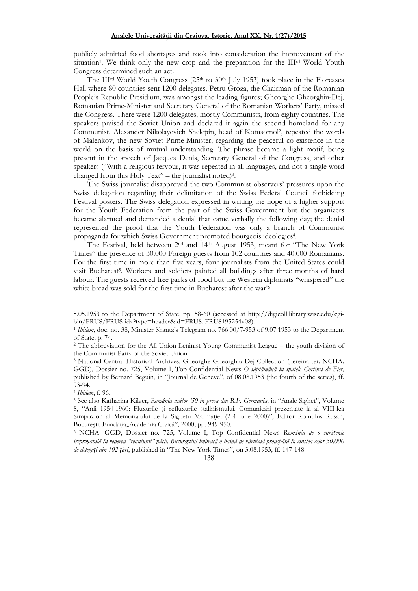publicly admitted food shortages and took into consideration the improvement of the situation<sup>1</sup> . We think only the new crop and the preparation for the IIIrd World Youth Congress determined such an act.

The III<sup>rd</sup> World Youth Congress ( $25<sup>th</sup>$  to  $30<sup>th</sup>$  July 1953) took place in the Floreasca Hall where 80 countries sent 1200 delegates. Petru Groza, the Chairman of the Romanian People's Republic Presidium, was amongst the leading figures; Gheorghe Gheorghiu-Dej, Romanian Prime-Minister and Secretary General of the Romanian Workers' Party, missed the Congress. There were 1200 delegates, mostly Communists, from eighty countries. The speakers praised the Soviet Union and declared it again the second homeland for any Communist. Alexander Nikolayevich Shelepin, head of Komsomol<sup>2</sup> , repeated the words of Malenkov, the new Soviet Prime-Minister, regarding the peaceful co-existence in the world on the basis of mutual understanding. The phrase became a light motif, being present in the speech of Jacques Denis, Secretary General of the Congress, and other speakers ("With a religious fervour, it was repeated in all languages, and not a single word changed from this Holy Text" – the journalist noted) 3 .

The Swiss journalist disapproved the two Communist observers' pressures upon the Swiss delegation regarding their delimitation of the Swiss Federal Council forbidding Festival posters. The Swiss delegation expressed in writing the hope of a higher support for the Youth Federation from the part of the Swiss Government but the organizers became alarmed and demanded a denial that came verbally the following day; the denial represented the proof that the Youth Federation was only a branch of Communist propaganda for which Swiss Government promoted bourgeois ideologies<sup>4</sup> .

The Festival, held between 2nd and 14th August 1953, meant for "The New York Times" the presence of 30.000 Foreign guests from 102 countries and 40.000 Romanians. For the first time in more than five years, four journalists from the United States could visit Bucharest<sup>5</sup>. Workers and soldiers painted all buildings after three months of hard labour. The guests received free packs of food but the Western diplomats "whispered" the white bread was sold for the first time in Bucharest after the war!<sup>6</sup>

 $\overline{a}$ 

<sup>6</sup> NCHA. GGD, Dossier no. 725, Volume I, Top Confidential News *România de o curățenie ireproșabilă în vederea "reuniunii" păcii. Bucureștiul îmbracă o haină de văruială proaspătă în cinstea celor 30.000 de delegați din 102 țări*, published in "The New York Times", on 3.08.1953, ff. 147-148.



<sup>5.05.1953</sup> to the Department of State, pp. 58-60 (accessed at http://digicoll.library.wisc.edu/cgibin/FRUS/FRUS-idx?type=header&id=FRUS. FRUS195254v08).

<sup>1</sup> *Ibidem*, doc. no. 38, Minister Shantz's Telegram no. 766.00/7-953 of 9.07.1953 to the Department of State, p. 74.

<sup>2</sup> The abbreviation for the All-Union Leninist Young Communist League – the youth division of the Communist Party of the Soviet Union.

<sup>3</sup> National Central Historical Archives, Gheorghe Gheorghiu-Dej Collection (hereinafter: NCHA. GGD), Dossier no. 725, Volume I, Top Confidential News *O săptămână în spatele Cortinei de Fier*, published by Bernard Beguin, in "Journal de Geneve", of 08.08.1953 (the fourth of the series), ff. 93-94.

<sup>4</sup> *Ibidem*, f. 96.

<sup>5</sup> See also Katharina Kilzer, *România anilor '50 în presa din R.F. Germania*, in "Anale Sighet", Volume 8, "Anii 1954-1960: Fluxurile şi refluxurile stalinismului. Comunicări prezentate la al VIII-lea Simpozion al Memorialului de la Sighetu Marmației (2-4 iulie 2000)", Editor Romulus Rusan, București, Fundația,,Academia Civică", 2000, pp. 949-950.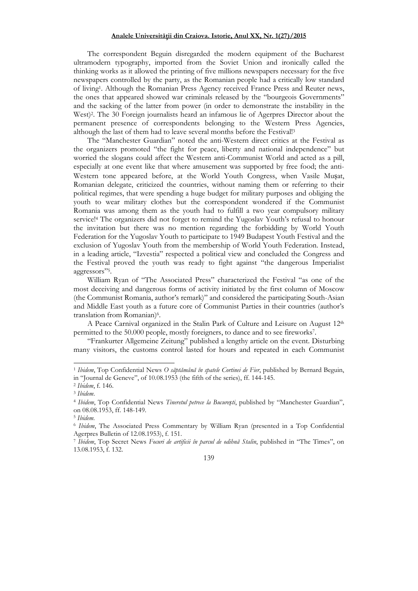The correspondent Beguin disregarded the modern equipment of the Bucharest ultramodern typography, imported from the Soviet Union and ironically called the thinking works as it allowed the printing of five millions newspapers necessary for the five newspapers controlled by the party, as the Romanian people had a critically low standard of living<sup>1</sup> . Although the Romanian Press Agency received France Press and Reuter news, the ones that appeared showed war criminals released by the "bourgeois Governments" and the sacking of the latter from power (in order to demonstrate the instability in the West)<sup>2</sup> . The 30 Foreign journalists heard an infamous lie of Agerpres Director about the permanent presence of correspondents belonging to the Western Press Agencies, although the last of them had to leave several months before the Festival!<sup>3</sup>

The "Manchester Guardian" noted the anti-Western direct critics at the Festival as the organizers promoted "the fight for peace, liberty and national independence" but worried the slogans could affect the Western anti-Communist World and acted as a pill, especially at one event like that where amusement was supported by free food; the anti-Western tone appeared before, at the World Youth Congress, when Vasile Mușat, Romanian delegate, criticized the countries, without naming them or referring to their political regimes, that were spending a huge budget for military purposes and obliging the youth to wear military clothes but the correspondent wondered if the Communist Romania was among them as the youth had to fulfill a two year compulsory military service!<sup>4</sup> The organizers did not forget to remind the Yugoslav Youth's refusal to honour the invitation but there was no mention regarding the forbidding by World Youth Federation for the Yugoslav Youth to participate to 1949 Budapest Youth Festival and the exclusion of Yugoslav Youth from the membership of World Youth Federation. Instead, in a leading article, "Izvestia" respected a political view and concluded the Congress and the Festival proved the youth was ready to fight against "the dangerous Imperialist aggressors"<sup>5</sup> .

William Ryan of "The Associated Press" characterized the Festival "as one of the most deceiving and dangerous forms of activity initiated by the first column of Moscow (the Communist Romania, author's remark)" and considered the participating South-Asian and Middle East youth as a future core of Communist Parties in their countries (author's translation from Romanian)<sup>6</sup>.

A Peace Carnival organized in the Stalin Park of Culture and Leisure on August 12<sup>th</sup> permitted to the 50.000 people, mostly foreigners, to dance and to see fireworks<sup>7</sup> .

"Frankurter Allgemeine Zeitung" published a lengthy article on the event. Disturbing many visitors, the customs control lasted for hours and repeated in each Communist

 $\overline{a}$ 

<sup>7</sup> *Ibidem*, Top Secret News *Focuri de artificii în parcul de odihnă Stalin*, published in "The Times", on 13.08.1953, f. 132.



<sup>1</sup> *Ibidem*, Top Confidential News *O săptămână în spatele Cortinei de Fier*, published by Bernard Beguin, in "Journal de Geneve", of 10.08.1953 (the fifth of the series), ff. 144-145.

<sup>2</sup> *Ibidem*, f. 146.

<sup>3</sup> *Ibidem*.

<sup>4</sup> *Ibidem*, Top Confidential News *Tineretul petrece la București*, published by "Manchester Guardian", on 08.08.1953, ff. 148-149.

<sup>5</sup> *Ibidem.*

<sup>6</sup> *Ibidem*, The Associated Press Commentary by William Ryan (presented in a Top Confidential Agerpres Bulletin of 12.08.1953), f. 151.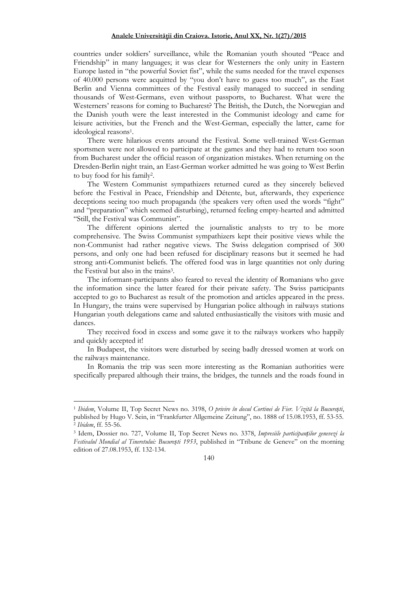countries under soldiers' surveillance, while the Romanian youth shouted "Peace and Friendship" in many languages; it was clear for Westerners the only unity in Eastern Europe lasted in "the powerful Soviet fist", while the sums needed for the travel expenses of 40.000 persons were acquitted by "you don't have to guess too much", as the East Berlin and Vienna committees of the Festival easily managed to succeed in sending thousands of West-Germans, even without passports, to Bucharest. What were the Westerners' reasons for coming to Bucharest? The British, the Dutch, the Norwegian and the Danish youth were the least interested in the Communist ideology and came for leisure activities, but the French and the West-German, especially the latter, came for ideological reasons<sup>1</sup> .

There were hilarious events around the Festival. Some well-trained West-German sportsmen were not allowed to participate at the games and they had to return too soon from Bucharest under the official reason of organization mistakes. When returning on the Dresden-Berlin night train, an East-German worker admitted he was going to West Berlin to buy food for his family<sup>2</sup> .

The Western Communist sympathizers returned cured as they sincerely believed before the Festival in Peace, Friendship and Détente, but, afterwards, they experience deceptions seeing too much propaganda (the speakers very often used the words "fight" and "preparation" which seemed disturbing), returned feeling empty-hearted and admitted "Still, the Festival was Communist".

The different opinions alerted the journalistic analysts to try to be more comprehensive. The Swiss Communist sympathizers kept their positive views while the non-Communist had rather negative views. The Swiss delegation comprised of 300 persons, and only one had been refused for disciplinary reasons but it seemed he had strong anti-Communist beliefs. The offered food was in large quantities not only during the Festival but also in the trains<sup>3</sup>.

The informant-participants also feared to reveal the identity of Romanians who gave the information since the latter feared for their private safety. The Swiss participants accepted to go to Bucharest as result of the promotion and articles appeared in the press. In Hungary, the trains were supervised by Hungarian police although in railways stations Hungarian youth delegations came and saluted enthusiastically the visitors with music and dances.

They received food in excess and some gave it to the railways workers who happily and quickly accepted it!

In Budapest, the visitors were disturbed by seeing badly dressed women at work on the railways maintenance.

In Romania the trip was seen more interesting as the Romanian authorities were specifically prepared although their trains, the bridges, the tunnels and the roads found in

 $\overline{a}$ 

<sup>1</sup> *Ibidem*, Volume II, Top Secret News no. 3198, *O privire în dosul Cortinei de Fier. Vizită la București*, published by Hugo V. Sein, in "Frankfurter Allgemeine Zeitung", no. 1888 of 15.08.1953, ff. 53-55. 2 *Ibidem*, ff. 55-56.

<sup>3</sup> Idem, Dossier no. 727, Volume II, Top Secret News no. 3378, *Impresiile participanților genevezi la Festivalul Mondial al Tineretului: București 1953*, published in "Tribune de Geneve" on the morning edition of 27.08.1953, ff. 132-134.

<sup>140</sup>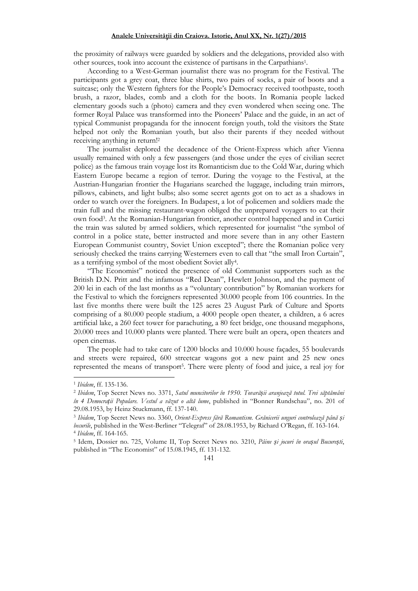the proximity of railways were guarded by soldiers and the delegations, provided also with other sources, took into account the existence of partisans in the Carpathians<sup>1</sup> .

According to a West-German journalist there was no program for the Festival. The participants got a grey coat, three blue shirts, two pairs of socks, a pair of boots and a suitcase; only the Western fighters for the People's Democracy received toothpaste, tooth brush, a razor, blades, comb and a cloth for the boots. In Romania people lacked elementary goods such a (photo) camera and they even wondered when seeing one. The former Royal Palace was transformed into the Pioneers' Palace and the guide, in an act of typical Communist propaganda for the innocent foreign youth, told the visitors the State helped not only the Romanian youth, but also their parents if they needed without receiving anything in return!<sup>2</sup>

The journalist deplored the decadence of the Orient-Express which after Vienna usually remained with only a few passengers (and those under the eyes of civilian secret police) as the famous train voyage lost its Romanticism due to the Cold War, during which Eastern Europe became a region of terror. During the voyage to the Festival, at the Austrian-Hungarian frontier the Hugarians searched the luggage, including train mirrors, pillows, cabinets, and light bulbs; also some secret agents got on to act as a shadows in order to watch over the foreigners. In Budapest, a lot of policemen and soldiers made the train full and the missing restaurant-wagon obliged the unprepared voyagers to eat their own food<sup>3</sup> . At the Romanian-Hungarian frontier, another control happened and in Curtici the train was saluted by armed soldiers, which represented for journalist "the symbol of control in a police state, better instructed and more severe than in any other Eastern European Communist country, Soviet Union excepted"; there the Romanian police very seriously checked the trains carrying Westerners even to call that "the small Iron Curtain", as a terrifying symbol of the most obedient Soviet ally<sup>4</sup> .

"The Economist" noticed the presence of old Communist supporters such as the British D.N. Pritt and the infamous "Red Dean", Hewlett Johnson, and the payment of 200 lei in each of the last months as a "voluntary contribution" by Romanian workers for the Festival to which the foreigners represented 30.000 people from 106 countries. In the last five months there were built the 125 acres 23 August Park of Culture and Sports comprising of a 80.000 people stadium, a 4000 people open theater, a children, a 6 acres artificial lake, a 260 feet tower for parachuting, a 80 feet bridge, one thousand megaphons, 20.000 trees and 10.000 plants were planted. There were built an opera, open theaters and open cinemas.

The people had to take care of 1200 blocks and 10.000 house façades, 55 boulevards and streets were repaired, 600 streetcar wagons got a new paint and 25 new ones represented the means of transport<sup>5</sup> . There were plenty of food and juice, a real joy for

 $\overline{a}$ 

#### 141

<sup>1</sup>  *Ibidem*, ff. 135-136.

<sup>2</sup> *Ibidem*, Top Secret News no. 3371, *Satul muncitorilor în 1950. Tovarășii aranjează totul. Trei săptămâni în 4 Democrații Populare. Vestul a văzut o altă lume*, published in "Bonner Rundschau", no. 201 of 29.08.1953, by Heinz Stuckmann, ff. 137-140.

<sup>3</sup> *Ibidem*, Top Secret News no. 3360, *Orient-Express fără Romantism. Grănicerii unguri controlează până și becurile*, published in the West-Berliner "Telegraf" of 28.08.1953, by Richard O'Regan, ff. 163-164. 4 *Ibidem*, ff. 164-165.

<sup>5</sup> Idem, Dossier no. 725, Volume II, Top Secret News no. 3210, *Pâine și jocuri în orașul București*, published in "The Economist" of 15.08.1945, ff. 131-132.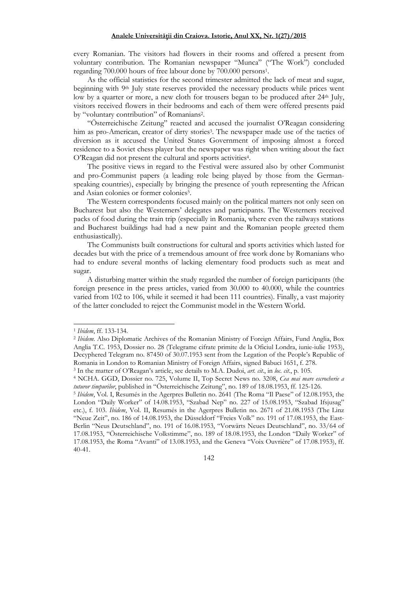every Romanian. The visitors had flowers in their rooms and offered a present from voluntary contribution. The Romanian newspaper "Munca" ("The Work") concluded regarding 700.000 hours of free labour done by 700.000 persons<sup>1</sup> .

As the official statistics for the second trimester admitted the lack of meat and sugar, beginning with 9<sup>th</sup> July state reserves provided the necessary products while prices went low by a quarter or more, a new cloth for trousers began to be produced after 24<sup>th</sup> July, visitors received flowers in their bedrooms and each of them were offered presents paid by "voluntary contribution" of Romanians<sup>2</sup> .

"Österreichische Zeitung" reacted and accused the journalist O'Reagan considering him as pro-American, creator of dirty stories<sup>3</sup> . The newspaper made use of the tactics of diversion as it accused the United States Government of imposing almost a forced residence to a Soviet chess player but the newspaper was right when writing about the fact O'Reagan did not present the cultural and sports activities<sup>4</sup> .

The positive views in regard to the Festival were assured also by other Communist and pro-Communist papers (a leading role being played by those from the Germanspeaking countries), especially by bringing the presence of youth representing the African and Asian colonies or former colonies<sup>5</sup>.

The Western correspondents focused mainly on the political matters not only seen on Bucharest but also the Westerners' delegates and participants. The Westerners received packs of food during the train trip (especially in Romania, where even the railways stations and Bucharest buildings had had a new paint and the Romanian people greeted them enthusiastically).

The Communists built constructions for cultural and sports activities which lasted for decades but with the price of a tremendous amount of free work done by Romanians who had to endure several months of lacking elementary food products such as meat and sugar.

A disturbing matter within the study regarded the number of foreign participants (the foreign presence in the press articles, varied from 30.000 to 40.000, while the countries varied from 102 to 106, while it seemed it had been 111 countries). Finally, a vast majority of the latter concluded to reject the Communist model in the Western World.

 $\overline{a}$ 

142

<sup>1</sup> *Ibidem*, ff. 133-134.

<sup>2</sup> *Ibidem.* Also Diplomatic Archives of the Romanian Ministry of Foreign Affairs, Fund Anglia, Box Anglia T.C. 1953, Dossier no. 28 (Telegrame cifrate primite de la Oficiul Londra, iunie-iulie 1953), Decyphered Telegram no. 87450 of 30.07.1953 sent from the Legation of the People's Republic of Romania in London to Romanian Ministry of Foreign Affairs, signed Babuci 1651, f. 278.

<sup>3</sup> In the matter of O'Reagan's article, see details to M.A. Dudoi, *art. cit*., in *loc. cit.*, p. 105.

<sup>4</sup> NCHA. GGD, Dossier no. 725, Volume II, Top Secret News no. 3208, *Cea mai mare escrocherie a tuturor timpurilor*, published in "Österreichische Zeitung", no. 189 of 18.08.1953, ff. 125-126.

<sup>5</sup> *Ibidem*, Vol. I, Resumés in the Agerpres Bulletin no. 2641 (The Roma "Il Paese" of 12.08.1953, the London "Daily Worker" of 14.08.1953, "Szabad Nep" no. 227 of 15.08.1953, "Szabad Ifsjusag" etc.), f. 103. *Ibidem*, Vol. II, Resumés in the Agerpres Bulletin no. 2671 of 21.08.1953 (The Linz "Neue Zeit", no. 186 of 14.08.1953, the Düsseldorf "Freies Volk" no. 191 of 17.08.1953, the East-Berlin "Neus Deutschland", no. 191 of 16.08.1953, "Vorwärts Neues Deutschland", no. 33/64 of 17.08.1953, "Österreichische Volkstimme", no. 189 of 18.08.1953, the London "Daily Worker" of 17.08.1953, the Roma "Avanti" of 13.08.1953, and the Geneva "Voix Ouvrière" of 17.08.1953), ff. 40-41.